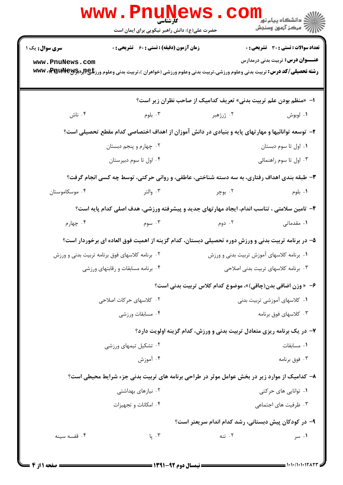|                                                                                             | <b>WWW.FUUNGWS</b><br>کارشناسی<br>حضرت علی(ع): دانش راهبر نیکویی برای ایمان است                                                           |                                                                        | الڪ دانشڪاه پيام نور دارا<br>الڪار مرڪز آزمون وسنڊش |  |  |
|---------------------------------------------------------------------------------------------|-------------------------------------------------------------------------------------------------------------------------------------------|------------------------------------------------------------------------|-----------------------------------------------------|--|--|
| سری سوال: یک ۱                                                                              | <b>زمان آزمون (دقیقه) : تستی : 60 ٪ تشریحی : 0</b>                                                                                        |                                                                        | <b>تعداد سوالات : تستی : 30 ٪ تشریحی : 0</b>        |  |  |
| www.PnuNews.com                                                                             | <b>رشته تحصیلی/کد درس:</b> تربیت بدنی وعلوم ورزشی،تربیت بدنی وعلوم ورزشی (خواهران )،تربیت بدنی وعلوم ورز <b>شگی (براهک PraudVeyr، www</b> |                                                                        | <b>عنـــوان درس:</b> تربیت بدنی درمدارس             |  |  |
|                                                                                             |                                                                                                                                           | ا- «منظم بودن علم تربیت بدنی» تعریف کدامیک از صاحب نظران زیر است؟      |                                                     |  |  |
| ۰۴ ناش                                                                                      | ۰۳ بلوم                                                                                                                                   | ۰۲ ژرژهبر                                                              | ۰۱ لوبوش                                            |  |  |
|                                                                                             | ۲- توسعه توانائیها و مهارتهای پایه و بنیادی در دانش آموزان از اهداف اختصاصی کدام مقطع تحصیلی است؟                                         |                                                                        |                                                     |  |  |
|                                                                                             | ۰۲ چهارم و پنجم دبستان                                                                                                                    | ۰۱ اول تا سوم دبستان                                                   |                                                     |  |  |
|                                                                                             | ۰۴ اول تا سوم دبیرستان                                                                                                                    | ۰۳ اول تا سوم راهنمائی                                                 |                                                     |  |  |
| ۳- طبقه بندی اهداف رفتاری، به سه دسته شناختی، عاطفی، و روانی حرکتی، توسط چه کسی انجام گرفت؟ |                                                                                                                                           |                                                                        |                                                     |  |  |
| ۰۴ موسکاموستان                                                                              | ۰۳ والتر                                                                                                                                  | ۰۲ بوچر                                                                | ۰۱ بلوم                                             |  |  |
|                                                                                             | ۴- تامین سلامتی ، تناسب اندام، ایجاد مهارتهای جدید و پیشرفته ورزشی، هدف اصلی کدام پایه است؟                                               |                                                                        |                                                     |  |  |
| ۰۴ چهارم                                                                                    | ۰۳ سوم                                                                                                                                    | ۰۲ دوم                                                                 | ۰۱ مقدماتی                                          |  |  |
|                                                                                             | ۵– در برنامه تربیت بدنی و ورزشِ دوره تحصیلی دبستان، کدام گزینه از اهمیت فوق العاده ای برخوردار است؟                                       |                                                                        |                                                     |  |  |
| ۰۲ برنامه کلاسهای فوق برنامه تربیت بدنی و ورزش                                              |                                                                                                                                           | ۰۱ برنامه کلاسهای آموزش تربیت بدنی و ورزش                              |                                                     |  |  |
| ۰۴ برنامه مسابقات و رقابتهای ورزشی                                                          |                                                                                                                                           | ۰۳ برنامه کلاسهای تربیت بدنی اصلاحی                                    |                                                     |  |  |
|                                                                                             |                                                                                                                                           | ۶– « وزن اضافی بدن(چاقی)»، موضوع کدام کلاس تربیت بدنی است؟             |                                                     |  |  |
| ۰۲ کلاسهای حر کات اصلاحی                                                                    |                                                                                                                                           | ۰۱ کلاسهای آموزشی تربیت بدنی                                           |                                                     |  |  |
| ۰۴ مسابقات ورزشى                                                                            |                                                                                                                                           | ۰۳ کلاسهای فوق برنامه                                                  |                                                     |  |  |
|                                                                                             |                                                                                                                                           | ۷- در یک برنامه ریزی متعادل تربیت بدنی و ورزش، کدام گزینه اولویت دارد؟ |                                                     |  |  |
|                                                                                             | ۰۲ تشکیل تیمهای ورزشی                                                                                                                     |                                                                        | ۰۱ مسابقات                                          |  |  |
|                                                                                             | ۰۴ آموزش                                                                                                                                  |                                                                        | ۰۳ فوق برنامه                                       |  |  |
|                                                                                             | ۸– کدامیک از موارد زیر در بخش عوامل موثر در طراحی برنامه های تربیت بدنی جزء شرایط محیطی است؟                                              |                                                                        |                                                     |  |  |
| ۰۲ نیازهای بهداشتی                                                                          |                                                                                                                                           | ۰۱ توانایی های حرکتی                                                   |                                                     |  |  |
| ۰۴ امکانات و تجهیزات                                                                        |                                                                                                                                           |                                                                        | ۰۳ ظرفیت های اجتماعی                                |  |  |
| ۹- در کودکان پیش دبستانی، رشد کدام اندام سریعتر است؟                                        |                                                                                                                                           |                                                                        |                                                     |  |  |
| ۰۴ قفسه سينه                                                                                | ۰۳ يا                                                                                                                                     | ۰۲ تنه                                                                 | ۰۱ سر                                               |  |  |
|                                                                                             |                                                                                                                                           |                                                                        |                                                     |  |  |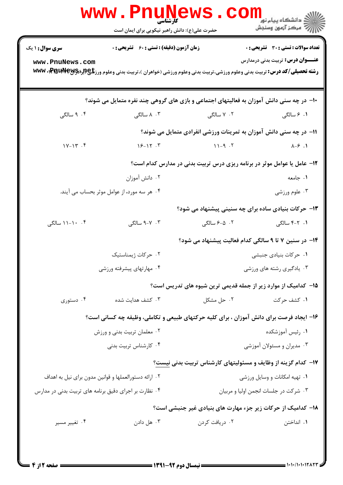|                                                             | <b>WWW.PNUNEWS.</b><br>کارشناسی<br>حضرت علی(ع): دانش راهبر نیکویی برای ایمان است |                                       | د دانشکاه پيام نور<br>ا∛ مرکز آزمون وسنجش                                                                                                                                          |  |  |
|-------------------------------------------------------------|----------------------------------------------------------------------------------|---------------------------------------|------------------------------------------------------------------------------------------------------------------------------------------------------------------------------------|--|--|
| <b>سری سوال : ۱ یک</b>                                      | <b>زمان آزمون (دقیقه) : تستی : 60 ٪ تشریحی : 0</b>                               |                                       | تعداد سوالات : تستي : 30 ٪ تشريحي : 0                                                                                                                                              |  |  |
| www.PnuNews.com                                             |                                                                                  |                                       | <b>عنـــوان درس:</b> تربیت بدنی درمدارس<br><b>رشته تحصیلی/کد درس:</b> تربیت بدنی وعلوم ورزشی،تربیت بدنی وعلوم ورزشی (خواهران )،تربیت بدنی وعلوم ورز <b>تلچ(براچPraudVeyr)، www</b> |  |  |
|                                                             |                                                                                  |                                       | ۱۰− در چه سنی دانش آموزان به فعالیتهای اجتماعی و بازی های گروهی چند نفره متمایل می شوند؟                                                                                           |  |  |
| ۰۴ سالگی                                                    | ۰۳ ۸ سالگی                                                                       | ۰۲ سالگی M . ۲                        | ۰۱ ۶ سالگی                                                                                                                                                                         |  |  |
|                                                             | 11- در چه سنی دانش آموزان به تمرینات ورزشی انفرادی متمایل می شوند؟               |                                       |                                                                                                                                                                                    |  |  |
| $1Y-1Y$ . $Y$                                               | $15 - 17.7$                                                                      | $11-9.7$                              | $\lambda - \epsilon$ .                                                                                                                                                             |  |  |
|                                                             | ۱۲- عامل یا عوامل موثر در برنامه ریزی درس تربیت بدنی در مدارس کدام است؟          |                                       |                                                                                                                                                                                    |  |  |
|                                                             | ۰۲ دانش آموزان                                                                   |                                       | ۰۱ جامعه                                                                                                                                                                           |  |  |
| ۰۴ هر سه مورد، از عوامل موثر بحساب می آیند.                 |                                                                                  |                                       | ۰۳ علوم ورزشي                                                                                                                                                                      |  |  |
|                                                             |                                                                                  |                                       | ۱۳- حرکات بنیادی ساده برای چه سنینی پیشنهاد می شود؟                                                                                                                                |  |  |
| ۰۴ - ۱۱-۱۱ سالگی                                            | ۰۳ - ۹-۹ سالگی                                                                   |                                       |                                                                                                                                                                                    |  |  |
|                                                             |                                                                                  |                                       | ۱۴– در سنین ۷ تا ۹ سالگی کدام فعالیت پیشنهاد می شود؟                                                                                                                               |  |  |
| ۰۲ حرکات ژیمناستیک                                          |                                                                                  | ۰۱ حرکات بنیادی جنبشی                 |                                                                                                                                                                                    |  |  |
| ۰۴ مهارتهای پیشرفته ورزشی                                   |                                                                                  | ۰۳ یادگیری رشته های ورزشی             |                                                                                                                                                                                    |  |  |
|                                                             |                                                                                  |                                       | ۰۱۵ کدامیک از موارد زیر از جمله قدیمی ترین شیوه های تدریس است؟                                                                                                                     |  |  |
| ۰۴ دستوری                                                   | ۰۳ کشف هدایت شده                                                                 | ۰۲ حل مشکل                            | ۰۱ کشف حرکت                                                                                                                                                                        |  |  |
|                                                             |                                                                                  |                                       | ۱۶- ایجاد فرصت برای دانش آموزان ، برای کلیه حرکتهای طبیعی و تکاملی، وظیفه چه کسانی است؟                                                                                            |  |  |
| ۰۲ معلمان تربیت بدنی و ورزش                                 |                                                                                  | ٠١. رئيس آموزشكده                     |                                                                                                                                                                                    |  |  |
|                                                             | ۰۴ کارشناس تربیت بدنی                                                            |                                       | ۰۳ مدیران و مسئولان آموزشی                                                                                                                                                         |  |  |
|                                                             |                                                                                  |                                       | ۱۷- کدام گزینه از وظایف و مسئولیتهای کارشناس تربیت بدنی نیست؟                                                                                                                      |  |  |
|                                                             | ۰۲ ارائه دستورالعملها و قوانین مدون برای نیل به اهداف                            | ٠١. تهيه امكانات و وسايل ورزشى        |                                                                                                                                                                                    |  |  |
| ۰۴ نظارت بر اجرای دقیق برنامه های تربیت بدنی در مدارس       |                                                                                  | ٠٣ شركت در جلسات انجمن اوليا و مربيان |                                                                                                                                                                                    |  |  |
| 18– کدامیک از حرکات زیر جزء مهارت های بنیادی غیر جنبشی است؟ |                                                                                  |                                       |                                                                                                                                                                                    |  |  |
| ۰۴ تغییر مسیر                                               | ۰۳ هل دادن                                                                       | ۰۲ دریافت کردن                        | ٠. انداختن                                                                                                                                                                         |  |  |
|                                                             |                                                                                  |                                       |                                                                                                                                                                                    |  |  |
|                                                             |                                                                                  |                                       |                                                                                                                                                                                    |  |  |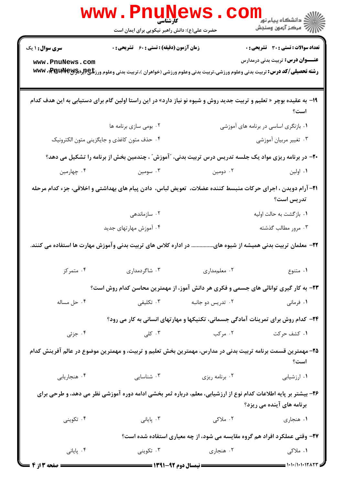|                           | <b>WWW.FIIUN</b><br><b>کارشناسی</b><br>حضرت علی(ع): دانش راهبر نیکویی برای ایمان است                                                    |                                                                     | ر دانشگاه پیام نور<br>۱۳۸۰ مرکز آزمون وسنجش                                               |  |
|---------------------------|-----------------------------------------------------------------------------------------------------------------------------------------|---------------------------------------------------------------------|-------------------------------------------------------------------------------------------|--|
| <b>سری سوال : ۱ یک</b>    | زمان آزمون (دقیقه) : تستی : 60 ٪ تشریحی : 0                                                                                             |                                                                     | <b>تعداد سوالات : تستی : 30 ٪ تشریحی : 0</b>                                              |  |
| www.PnuNews.com           | <b>رشته تحصیلی/کد درس:</b> تربیت بدنی وعلوم ورزشی،تربیت بدنی وعلوم ورزشی (خواهران )،تربیت بدنی وعلوم ورز <b>تلچ(براچPraudVeyr). www</b> |                                                                     | <b>عنـــوان درس:</b> تربیت بدنی درمدارس                                                   |  |
|                           | ۱۹- به عقیده بوچر « تعلیم و تربیت جدید روش و شیوه نو نیاز دارد» در این راستا اولین گام برای دستیابی به این هدف کدام                     |                                                                     | است؟                                                                                      |  |
|                           | ۰۲ بومی سازی برنامه ها                                                                                                                  |                                                                     | ۰۱ بازنگری اساسی در برنامه های آموزشی                                                     |  |
|                           | ۰۴ حذف متون كاغذى و جايگزيني متون الكترونيك                                                                                             |                                                                     | ۰۳ تغییر مربیان آموزشی                                                                    |  |
|                           | +۲- در برنامه ریزی مواد یک جلسه تدریس درس تربیت بدنی، "آموزش" ، چندمین بخش از برنامه را تشکیل می دهد؟                                   |                                                                     |                                                                                           |  |
| ۰۴ چهارمین                | ۰۳ سومین                                                                                                                                | ۰۲ دومین                                                            | ۰۱ اولین                                                                                  |  |
|                           | ۲۱– آرام دویدن ، اجرای حرکات منبسط کننده عضلات،  تعویض لباس،  دادن پیام های بهداشتی و اخلاقی، جزء کدام مرحله                            |                                                                     | تدريس است؟                                                                                |  |
|                           | ۰۲ سازماندهی                                                                                                                            |                                                                     | ۰۱ بازگشت به حالت اولیه                                                                   |  |
|                           | ۰۴ آموزش مهارتهای جدید                                                                                                                  |                                                                     | ۰۳ مرور مطالب گذشته                                                                       |  |
|                           | در اداره کلاس های تربیت بدنی وآموزش مهارت ها استفاده می کنند.                                                                           |                                                                     | <b>۲۲</b> - معلمان تربیت بدنی همیشه از شیوه های                                           |  |
| ۰۴ متمرکز                 | ۰۳ شاگردمداری                                                                                                                           | ۰۲ معلم مداری                                                       | ۰۱ متنوع                                                                                  |  |
|                           | ۲۳- به کار گیری توانائی های جسمی و فکری هر دانش آموز، از مهمترین محاسن کدام روش است؟                                                    |                                                                     |                                                                                           |  |
| ۰۴ حل مساله               | تكليفى $\cdot$                                                                                                                          | ۰۲ تدریس دو جانبه                                                   | ۰۱ فرمانی                                                                                 |  |
|                           |                                                                                                                                         |                                                                     | <b>34</b> - کدام روش برای تمرینات آمادگی جسمانی، تکنیکها و مهارتهای انسانی به کار می رود؟ |  |
| ۰۴ جزئی                   | ۰۳ کلی $\mathsf{S}$                                                                                                                     | ۲. مرکب                                                             | ۰۱ کشف حرکت                                                                               |  |
|                           | ۲۵– مهمترین قسمت برنامه تربیت بدنی در مدارس، مهمترین بخش تعلیم و تربیت، و مهمترین موضوع در عالم افرینش کدام                             |                                                                     | است؟                                                                                      |  |
| ۰۴ هنجاريابي              | ۰۳ شناسایی                                                                                                                              | ۰۲ برنامه ریزی                                                      | ۰۱ ارزشیابی                                                                               |  |
|                           | ۲۶- بیشتر بر پایه اطلاعات کدام نوع از ارزشیابی، معلم، درباره ثمر بخشی ادامه دوره آموزشی نظر می دهد، و طرحی برای                         |                                                                     | برنامه های آینده می ریزد؟                                                                 |  |
| ۰۴ تکوینی                 | ۰۳ پایانی                                                                                                                               | ۲. ملاکی                                                            | ۰۱ هنجاري                                                                                 |  |
|                           |                                                                                                                                         |                                                                     | ۲۷- وقتی عملکرد افراد هم گروه مقایسه می شود، از چه معیاری استفاده شده است؟                |  |
| ۰۴ پایانی                 | ۰۳ تکوینی                                                                                                                               | ۰۲ هنجاری                                                           | ۱. ملاکی                                                                                  |  |
| ـــــــــ صفحه 2 از 4 ــا |                                                                                                                                         | <b>ــــــــــــــــــــــــــ</b> نیمسال دوم ۹۲-۱۳۹۱ <b>ـــــــ</b> | = ۱۰۱۰/۱۰۱۰۱۲۸۲۳ =                                                                        |  |